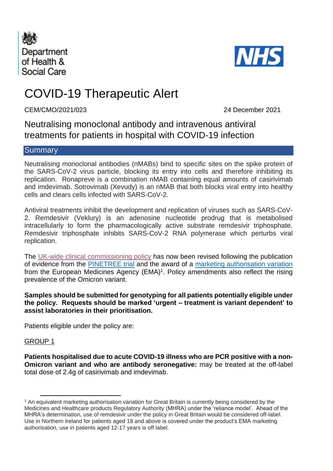



# COVID-19 Therapeutic Alert

CEM/CMO/2021/023 24 December 2021

Neutralising monoclonal antibody and intravenous antiviral treatments for patients in hospital with COVID-19 infection

## **Summary**

Neutralising monoclonal antibodies (nMABs) bind to specific sites on the spike protein of the SARS-CoV-2 virus particle, blocking its entry into cells and therefore inhibiting its replication. Ronapreve is a combination nMAB containing equal amounts of casirivimab and imdevimab. Sotrovimab (Xevudy) is an nMAB that both blocks viral entry into healthy cells and clears cells infected with SARS-CoV-2.

Antiviral treatments inhibit the development and replication of viruses such as SARS-CoV-2. Remdesivir (Veklury) is an adenosine nucleotide prodrug that is metabolised intracellularly to form the pharmacologically active substrate remdesivir triphosphate. Remdesivir triphosphate inhibits SARS-CoV-2 RNA polymerase which perturbs viral replication.

The [UK-wide clinical commissioning policy](https://www.cas.mhra.gov.uk/ViewandAcknowledgment/ViewAlert.aspx?AlertID=103189) has now been revised following the publication of evidence from the [PINETREE trial](https://www.nejm.org/doi/full/10.1056/NEJMoa2116846?query=featured_home) and the award of a [marketing authorisation variation](https://www.ema.europa.eu/en/medicines/human/EPAR/veklury) from the European Medicines Agency (EMA)<sup>1</sup>. Policy amendments also reflect the rising prevalence of the Omicron variant.

**Samples should be submitted for genotyping for all patients potentially eligible under the policy. Requests should be marked 'urgent – treatment is variant dependent' to assist laboratories in their prioritisation.** 

Patients eligible under the policy are:

#### GROUP 1

**Patients hospitalised due to acute COVID-19 illness who are PCR positive with a non-Omicron variant and who are antibody seronegative:** may be treated at the off-label total dose of 2.4g of casirivimab and imdevimab.

<sup>1</sup> An equivalent marketing authorisation variation for Great Britain is currently being considered by the Medicines and Healthcare products Regulatory Authority (MHRA) under the 'reliance model'. Ahead of the MHRA's determination, use of remdesivir under the policy in Great Britain would be considered off-label. Use in Northern Ireland for patients aged 18 and above is covered under the product's EMA marketing authorisation, use in patients aged 12-17 years is off label.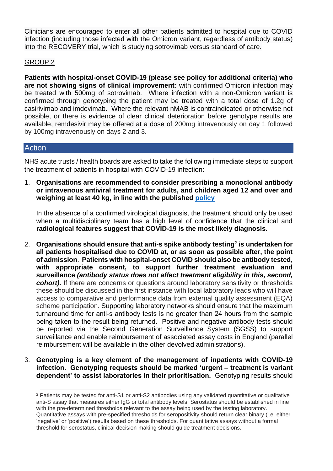Clinicians are encouraged to enter all other patients admitted to hospital due to COVID infection (including those infected with the Omicron variant, regardless of antibody status) into the RECOVERY trial, which is studying sotrovimab versus standard of care.

### GROUP 2

**Patients with hospital-onset COVID-19 (please see policy for additional criteria) who are not showing signs of clinical improvement:** with confirmed Omicron infection may be treated with 500mg of sotrovimab. Where infection with a non-Omicron variant is confirmed through genotyping the patient may be treated with a total dose of 1.2g of casirivimab and imdevimab. Where the relevant nMAB is contraindicated or otherwise not possible, or there is evidence of clear clinical deterioration before genotype results are available, remdesivir may be offered at a dose of 200mg intravenously on day 1 followed by 100mg intravenously on days 2 and 3.

## **Action**

NHS acute trusts / health boards are asked to take the following immediate steps to support the treatment of patients in hospital with COVID-19 infection:

1. **Organisations are recommended to consider prescribing a monoclonal antibody or intravenous antiviral treatment for adults, and children aged 12 and over and weighing at least 40 kg, in line with the published [policy](https://www.cas.mhra.gov.uk/ViewandAcknowledgment/ViewAlert.aspx?AlertID=103189)**

In the absence of a confirmed virological diagnosis, the treatment should only be used when a multidisciplinary team has a high level of confidence that the clinical and **radiological features suggest that COVID-19 is the most likely diagnosis.**

- 2. **Organisations should ensure that anti-s spike antibody testing<sup>2</sup> is undertaken for all patients hospitalised due to COVID at, or as soon as possible after, the point of admission**. **Patients with hospital-onset COVID should also be antibody tested, with appropriate consent, to support further treatment evaluation and surveillance** *(antibody status does not affect treatment eligibility in this, second, cohort)***.** If there are concerns or questions around laboratory sensitivity or thresholds these should be discussed in the first instance with local laboratory leads who will have access to comparative and performance data from external quality assessment (EQA) scheme participation. Supporting laboratory networks should ensure that the maximum turnaround time for anti-s antibody tests is no greater than 24 hours from the sample being taken to the result being returned. Positive and negative antibody tests should be reported via the Second Generation Surveillance System (SGSS) to support surveillance and enable reimbursement of associated assay costs in England (parallel reimbursement will be available in the other devolved administrations).
- 3. **Genotyping is a key element of the management of inpatients with COVID-19 infection. Genotyping requests should be marked 'urgent – treatment is variant dependent' to assist laboratories in their prioritisation.** Genotyping results should

<sup>2</sup> Patients may be tested for anti-S1 or anti-S2 antibodies using any validated quantitative or qualitative anti-S assay that measures either IgG or total antibody levels. Serostatus should be established in line with the pre-determined thresholds relevant to the assay being used by the testing laboratory. Quantitative assays with pre-specified thresholds for seropositivity should return clear binary (i.e. either 'negative' or 'positive') results based on these thresholds. For quantitative assays without a formal threshold for serostatus, clinical decision-making should guide treatment decisions.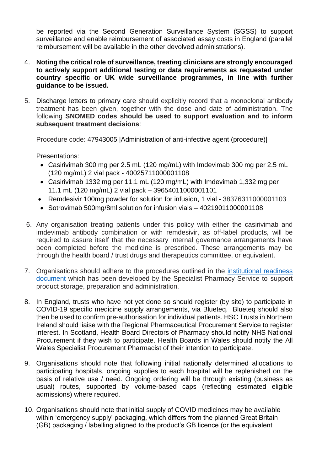be reported via the Second Generation Surveillance System (SGSS) to support surveillance and enable reimbursement of associated assay costs in England (parallel reimbursement will be available in the other devolved administrations).

- 4. **Noting the critical role of surveillance, treating clinicians are strongly encouraged to actively support additional testing or data requirements as requested under country specific or UK wide surveillance programmes, in line with further guidance to be issued.**
- 5. Discharge letters to primary care should explicitly record that a monoclonal antibody treatment has been given, together with the dose and date of administration. The following **SNOMED codes should be used to support evaluation and to inform subsequent treatment decisions**:

Procedure code: 47943005 |Administration of anti-infective agent (procedure)|

Presentations:

- Casirivimab 300 mg per 2.5 mL (120 mg/mL) with Imdevimab 300 mg per 2.5 mL (120 mg/mL) 2 vial pack - 40025711000001108
- Casirivimab 1332 mg per 11.1 mL (120 mg/mL) with Imdevimab 1,332 mg per 11.1 mL (120 mg/mL) 2 vial pack – 39654011000001101
- Remdesivir 100mg powder for solution for infusion, 1 vial 38376311000001103
- Sotrovimab 500mg/8ml solution for infusion vials 40219011000001108
- 6. Any organisation treating patients under this policy with either the casirivimab and imdevimab antibody combination or with remdesivir, as off-label products, will be required to assure itself that the necessary internal governance arrangements have been completed before the medicine is prescribed. These arrangements may be through the health board / trust drugs and therapeutics committee, or equivalent.
- 7. Organisations should adhere to the procedures outlined in the [institutional readiness](https://www.sps.nhs.uk/home/guidance/covid-19-treatments/neutralising-monoclonal-antibodies/casirivimab-and-imdevimab)  [document](https://www.sps.nhs.uk/home/guidance/covid-19-treatments/neutralising-monoclonal-antibodies/casirivimab-and-imdevimab) which has been developed by the Specialist Pharmacy Service to support product storage, preparation and administration.
- 8. In England, trusts who have not yet done so should register (by site) to participate in COVID-19 specific medicine supply arrangements, via Blueteq. Blueteq should also then be used to confirm pre-authorisation for individual patients. HSC Trusts in Northern Ireland should liaise with the Regional Pharmaceutical Procurement Service to register interest. In Scotland, Health Board Directors of Pharmacy should notify NHS National Procurement if they wish to participate. Health Boards in Wales should notify the All Wales Specialist Procurement Pharmacist of their intention to participate.
- 9. Organisations should note that following initial nationally determined allocations to participating hospitals, ongoing supplies to each hospital will be replenished on the basis of relative use / need. Ongoing ordering will be through existing (business as usual) routes, supported by volume-based caps (reflecting estimated eligible admissions) where required.
- 10. Organisations should note that initial supply of COVID medicines may be available within 'emergency supply' packaging, which differs from the planned Great Britain (GB) packaging / labelling aligned to the product's GB licence (or the equivalent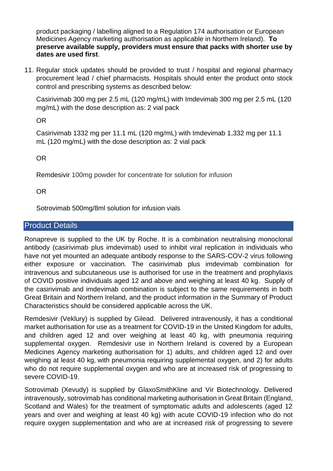product packaging / labelling aligned to a Regulation 174 authorisation or European Medicines Agency marketing authorisation as applicable in Northern Ireland). **To preserve available supply, providers must ensure that packs with shorter use by dates are used first**.

11. Regular stock updates should be provided to trust / hospital and regional pharmacy procurement lead / chief pharmacists. Hospitals should enter the product onto stock control and prescribing systems as described below:

Casirivimab 300 mg per 2.5 mL (120 mg/mL) with Imdevimab 300 mg per 2.5 mL (120 mg/mL) with the dose description as: 2 vial pack

OR

Casirivimab 1332 mg per 11.1 mL (120 mg/mL) with Imdevimab 1,332 mg per 11.1 mL (120 mg/mL) with the dose description as: 2 vial pack

OR

Remdesivir 100mg powder for concentrate for solution for infusion

OR

Sotrovimab 500mg/8ml solution for infusion vials

# Product Details

Ronapreve is supplied to the UK by Roche. It is a combination neutralising monoclonal antibody (casirivimab plus imdevimab) used to inhibit viral replication in individuals who have not yet mounted an adequate antibody response to the SARS-COV-2 virus following either exposure or vaccination. The casirivimab plus imdevimab combination for intravenous and subcutaneous use is authorised for use in the treatment and prophylaxis of COVID positive individuals aged 12 and above and weighing at least 40 kg. Supply of the casirivimab and imdevimab combination is subject to the same requirements in both Great Britain and Northern Ireland, and the product information in the Summary of Product Characteristics should be considered applicable across the UK.

Remdesivir (Veklury) is supplied by Gilead. Delivered intravenously, it has a conditional market authorisation for use as a treatment for COVID-19 in the United Kingdom for adults, and children aged 12 and over weighing at least 40 kg, with pneumonia requiring supplemental oxygen. Remdesivir use in Northern Ireland is covered by a European Medicines Agency marketing authorisation for 1) adults, and children aged 12 and over weighing at least 40 kg, with pneumonia requiring supplemental oxygen, and 2) for adults who do not require supplemental oxygen and who are at increased risk of progressing to severe COVID-19.

Sotrovimab (Xevudy) is supplied by GlaxoSmithKline and Vir Biotechnology. Delivered intravenously, sotrovimab has conditional marketing authorisation in Great Britain (England, Scotland and Wales) for the treatment of symptomatic adults and adolescents (aged 12 years and over and weighing at least 40 kg) with acute COVID-19 infection who do not require oxygen supplementation and who are at increased risk of progressing to severe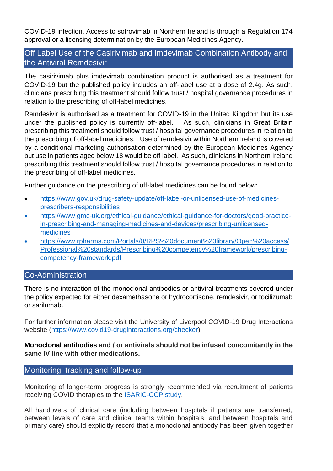COVID-19 infection. Access to sotrovimab in Northern Ireland is through a Regulation 174 approval or a licensing determination by the European Medicines Agency.

# Off Label Use of the Casirivimab and Imdevimab Combination Antibody and the Antiviral Remdesivir

The casirivimab plus imdevimab combination product is authorised as a treatment for COVID-19 but the published policy includes an off-label use at a dose of 2.4g. As such, clinicians prescribing this treatment should follow trust / hospital governance procedures in relation to the prescribing of off-label medicines.

Remdesivir is authorised as a treatment for COVID-19 in the United Kingdom but its use under the published policy is currently off-label. As such, clinicians in Great Britain prescribing this treatment should follow trust / hospital governance procedures in relation to the prescribing of off-label medicines. Use of remdesivir within Northern Ireland is covered by a conditional marketing authorisation determined by the European Medicines Agency but use in patients aged below 18 would be off label. As such, clinicians in Northern Ireland prescribing this treatment should follow trust / hospital governance procedures in relation to the prescribing of off-label medicines.

Further guidance on the prescribing of off-label medicines can be found below:

- [https://www.gov.uk/drug-safety-update/off-label-or-unlicensed-use-of-medicines](https://www.gov.uk/drug-safety-update/off-label-or-unlicensed-use-of-medicines-prescribers-responsibilities)[prescribers-responsibilities](https://www.gov.uk/drug-safety-update/off-label-or-unlicensed-use-of-medicines-prescribers-responsibilities)
- [https://www.gmc-uk.org/ethical-guidance/ethical-guidance-for-doctors/good-practice](https://www.gmc-uk.org/ethical-guidance/ethical-guidance-for-doctors/good-practice-in-prescribing-and-managing-medicines-and-devices/prescribing-unlicensed-medicines)[in-prescribing-and-managing-medicines-and-devices/prescribing-unlicensed](https://www.gmc-uk.org/ethical-guidance/ethical-guidance-for-doctors/good-practice-in-prescribing-and-managing-medicines-and-devices/prescribing-unlicensed-medicines)[medicines](https://www.gmc-uk.org/ethical-guidance/ethical-guidance-for-doctors/good-practice-in-prescribing-and-managing-medicines-and-devices/prescribing-unlicensed-medicines)
- https://www.rpharms.com/Portals/0/RPS%20document%20library/Open%20access/ Professional%20standards/Prescribing%20competency%20framework/prescribingcompetency-framework.pdf

## Co-Administration

There is no interaction of the monoclonal antibodies or antiviral treatments covered under the policy expected for either dexamethasone or hydrocortisone, remdesivir, or tocilizumab or sarilumab.

For further information please visit the University of Liverpool COVID-19 Drug Interactions website [\(https://www.covid19-druginteractions.org/checker\)](https://www.covid19-druginteractions.org/checker).

## **Monoclonal antibodies and / or antivirals should not be infused concomitantly in the same IV line with other medications.**

# Monitoring, tracking and follow-up

Monitoring of longer-term progress is strongly recommended via recruitment of patients receiving COVID therapies to the [ISARIC-CCP study.](https://isaric4c.net/)

All handovers of clinical care (including between hospitals if patients are transferred, between levels of care and clinical teams within hospitals, and between hospitals and primary care) should explicitly record that a monoclonal antibody has been given together